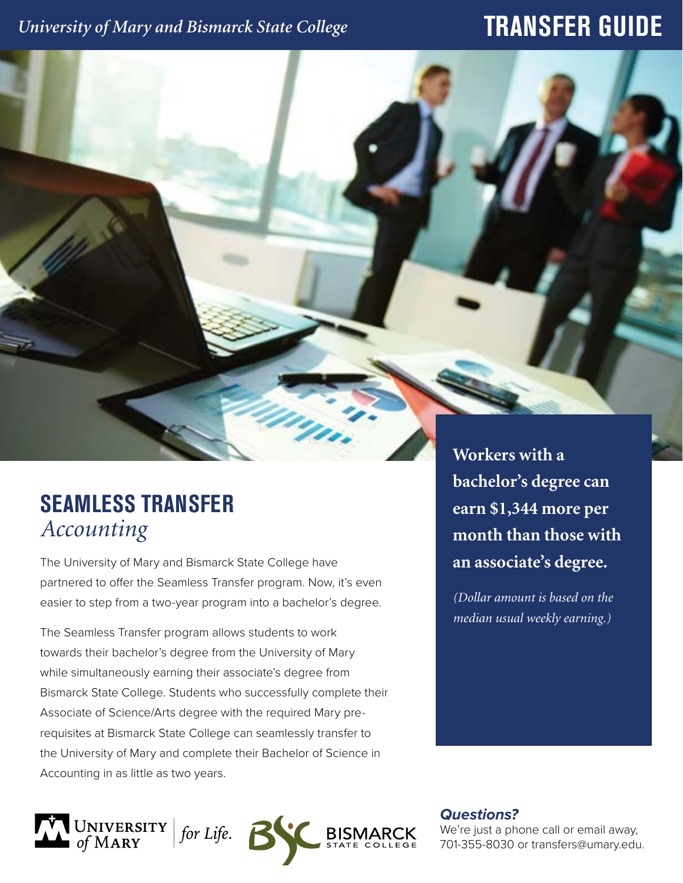## *University of Mary and Bismarck State College*

# **TRANSFER GUIDE**

## **SEAMLESS TRANSFER** *Accounting*

The University of Mary and Bismarck State College have partnered to offer the Seamless Transfer program. Now, it's even easier to step from a two-year program into a bachelor's degree.

The Seamless Transfer program allows students to work towards their bachelor's degree from the University of Mary while simultaneously earning their associate's degree from Bismarck State College. Students who successfully complete their Associate of Science/Arts degree with the required Mary prerequisites at Bismarck State College can seamlessly transfer to the University of Mary and complete their Bachelor of Science in Accounting in as little as two years.

**Workers with a bachelor's degree can earn \$1,344 more per month than those with an associate's degree.** 

*(Dollar amount is based on the median usual weekly earning.)*



*Questions?*

We're just a phone call or email away, 701-355-8030 or transfers@umary.edu.